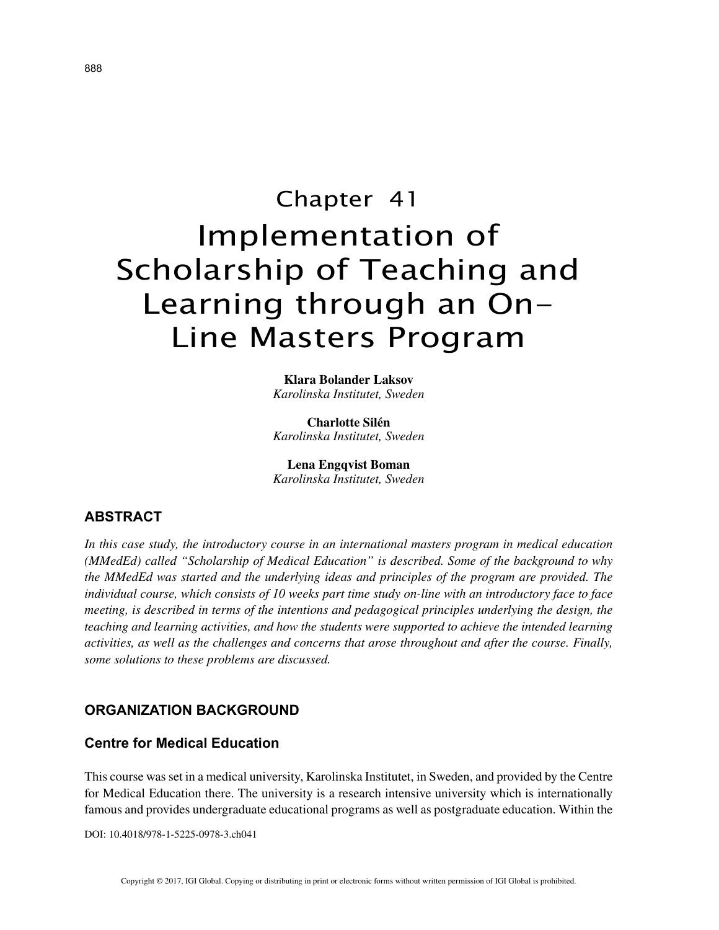# Chapter 41 Implementation of Scholarship of Teaching and Learning through an On-Line Masters Program

**Klara Bolander Laksov** *Karolinska Institutet, Sweden*

**Charlotte Silén** *Karolinska Institutet, Sweden*

**Lena Engqvist Boman** *Karolinska Institutet, Sweden*

# **ABSTRACT**

*In this case study, the introductory course in an international masters program in medical education (MMedEd) called "Scholarship of Medical Education" is described. Some of the background to why the MMedEd was started and the underlying ideas and principles of the program are provided. The individual course, which consists of 10 weeks part time study on-line with an introductory face to face meeting, is described in terms of the intentions and pedagogical principles underlying the design, the teaching and learning activities, and how the students were supported to achieve the intended learning activities, as well as the challenges and concerns that arose throughout and after the course. Finally, some solutions to these problems are discussed.*

#### **ORGANIZATION BACKGROUND**

## **Centre for Medical Education**

This course was set in a medical university, Karolinska Institutet, in Sweden, and provided by the Centre for Medical Education there. The university is a research intensive university which is internationally famous and provides undergraduate educational programs as well as postgraduate education. Within the

DOI: 10.4018/978-1-5225-0978-3.ch041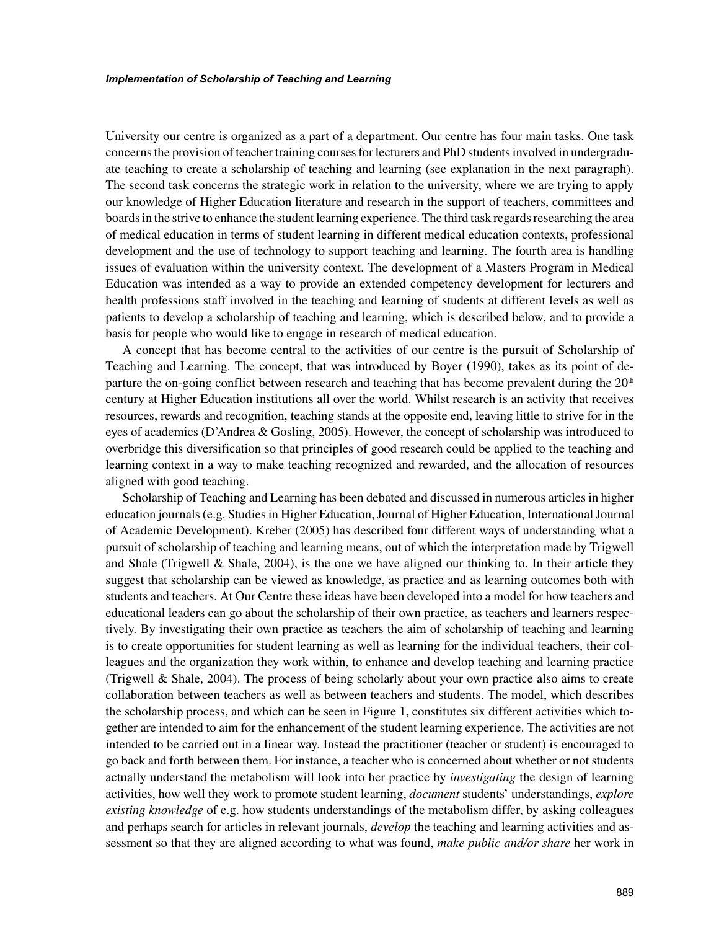University our centre is organized as a part of a department. Our centre has four main tasks. One task concerns the provision of teacher training courses for lecturers and PhD students involved in undergraduate teaching to create a scholarship of teaching and learning (see explanation in the next paragraph). The second task concerns the strategic work in relation to the university, where we are trying to apply our knowledge of Higher Education literature and research in the support of teachers, committees and boards in the strive to enhance the student learning experience. The third task regards researching the area of medical education in terms of student learning in different medical education contexts, professional development and the use of technology to support teaching and learning. The fourth area is handling issues of evaluation within the university context. The development of a Masters Program in Medical Education was intended as a way to provide an extended competency development for lecturers and health professions staff involved in the teaching and learning of students at different levels as well as patients to develop a scholarship of teaching and learning, which is described below, and to provide a basis for people who would like to engage in research of medical education.

A concept that has become central to the activities of our centre is the pursuit of Scholarship of Teaching and Learning. The concept, that was introduced by Boyer (1990), takes as its point of departure the on-going conflict between research and teaching that has become prevalent during the  $20<sup>th</sup>$ century at Higher Education institutions all over the world. Whilst research is an activity that receives resources, rewards and recognition, teaching stands at the opposite end, leaving little to strive for in the eyes of academics (D'Andrea & Gosling, 2005). However, the concept of scholarship was introduced to overbridge this diversification so that principles of good research could be applied to the teaching and learning context in a way to make teaching recognized and rewarded, and the allocation of resources aligned with good teaching.

Scholarship of Teaching and Learning has been debated and discussed in numerous articles in higher education journals (e.g. Studies in Higher Education, Journal of Higher Education, International Journal of Academic Development). Kreber (2005) has described four different ways of understanding what a pursuit of scholarship of teaching and learning means, out of which the interpretation made by Trigwell and Shale (Trigwell & Shale, 2004), is the one we have aligned our thinking to. In their article they suggest that scholarship can be viewed as knowledge, as practice and as learning outcomes both with students and teachers. At Our Centre these ideas have been developed into a model for how teachers and educational leaders can go about the scholarship of their own practice, as teachers and learners respectively. By investigating their own practice as teachers the aim of scholarship of teaching and learning is to create opportunities for student learning as well as learning for the individual teachers, their colleagues and the organization they work within, to enhance and develop teaching and learning practice (Trigwell  $\&$  Shale, 2004). The process of being scholarly about your own practice also aims to create collaboration between teachers as well as between teachers and students. The model, which describes the scholarship process, and which can be seen in Figure 1, constitutes six different activities which together are intended to aim for the enhancement of the student learning experience. The activities are not intended to be carried out in a linear way. Instead the practitioner (teacher or student) is encouraged to go back and forth between them. For instance, a teacher who is concerned about whether or not students actually understand the metabolism will look into her practice by *investigating* the design of learning activities, how well they work to promote student learning, *document* students' understandings, *explore existing knowledge* of e.g. how students understandings of the metabolism differ, by asking colleagues and perhaps search for articles in relevant journals, *develop* the teaching and learning activities and assessment so that they are aligned according to what was found, *make public and/or share* her work in